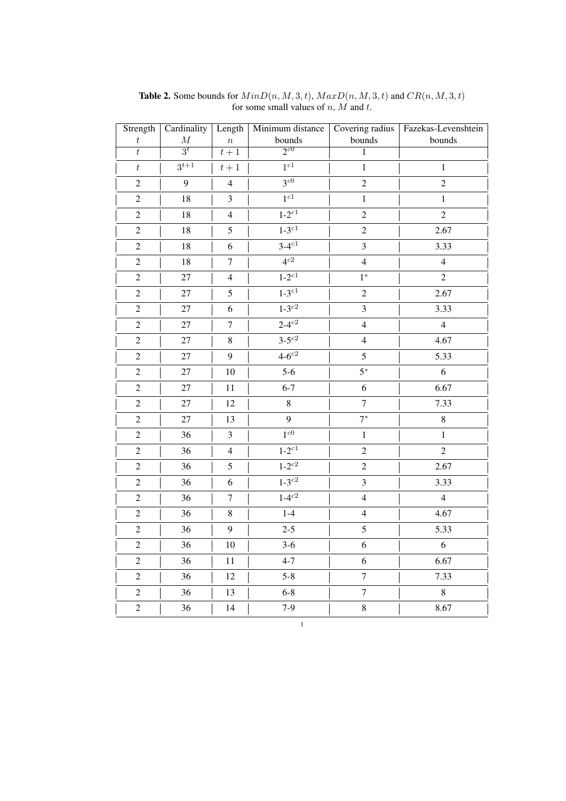| Strength         | Cardinality      | Length           | Minimum distance        | Covering radius         | Fazekas-Levenshtein |
|------------------|------------------|------------------|-------------------------|-------------------------|---------------------|
| $\boldsymbol{t}$ | $\cal M$         | $\boldsymbol{n}$ | bounds                  | bounds                  | bounds              |
| $\overline{t}$   | $\overline{3^t}$ | $t+1$            | $2^{c0}$                | $\overline{1}$          |                     |
| $\boldsymbol{t}$ | $3^{t+1}$        | $t+1\,$          | $1^{c1}$                | $\mathbf{1}$            | $\mathbf{1}$        |
| $\sqrt{2}$       | $\overline{9}$   | $\overline{4}$   | $3^{c0}$                | $\overline{c}$          | $\overline{2}$      |
| $\sqrt{2}$       | 18               | 3                | $1^{c1}$                | $1\,$                   | $\mathbf{1}$        |
| $\sqrt{2}$       | 18               | $\overline{4}$   | $1 - 2^{c1}$            | $\sqrt{2}$              | $\overline{2}$      |
| $\sqrt{2}$       | 18               | 5                | $1 - 3^{c1}$            | $\overline{c}$          | 2.67                |
| $\mathbf 2$      | 18               | 6                | $3 - 4^{c1}$            | 3                       | 3.33                |
| $\boldsymbol{2}$ | 18               | $\boldsymbol{7}$ | $\overline{4^{c2}}$     | $\overline{4}$          | $\overline{4}$      |
| $\boldsymbol{2}$ | 27               | $\overline{4}$   | $1 - 2^{c1}$            | $1^*$                   | $\overline{2}$      |
| $\sqrt{2}$       | 27               | $\sqrt{5}$       | $\overline{1 - 3^{c1}}$ | $\overline{2}$          | 2.67                |
| $\sqrt{2}$       | 27               | 6                | $1 - 3^{c2}$            | $\overline{\mathbf{3}}$ | 3.33                |
| $\sqrt{2}$       | 27               | $\boldsymbol{7}$ | $2 - 4^{c2}$            | $\overline{4}$          | $\overline{4}$      |
| $\overline{c}$   | 27               | $\,8\,$          | $3 - 5^{c2}$            | $\overline{4}$          | 4.67                |
| $\sqrt{2}$       | 27               | 9                | $4 - 6^{c2}$            | 5                       | 5.33                |
| $\overline{2}$   | 27               | $10\,$           | $5-6$                   | $5^*$                   | 6                   |
| $\boldsymbol{2}$ | 27               | $11\,$           | $6 - 7$                 | 6                       | 6.67                |
| $\overline{c}$   | 27               | 12               | $8\,$                   | $\boldsymbol{7}$        | 7.33                |
| $\sqrt{2}$       | 27               | 13               | 9                       | $7^*$                   | $\,8\,$             |
| $\overline{2}$   | 36               | $\mathfrak{Z}$   | $1^{c0}$                | $\,1\,$                 | $\,1$               |
| $\boldsymbol{2}$ | 36               | $\overline{4}$   | $1 - 2^{c1}$            | $\overline{2}$          | $\overline{2}$      |
| $\boldsymbol{2}$ | 36               | 5                | $1 - 2^{c2}$            | $\overline{c}$          | 2.67                |
| $\sqrt{2}$       | 36               | 6                | $1 - 3^{c2}$            | 3                       | 3.33                |
| $\sqrt{2}$       | 36               | $\overline{7}$   | $1 - 4^{c2}$            | $\overline{4}$          | $\overline{4}$      |
| $\overline{c}$   | 36               | $\,8\,$          | $1-4$                   | $\overline{4}$          | 4.67                |
| $\sqrt{2}$       | 36               | 9                | $2 - 5$                 | 5                       | 5.33                |
| $\sqrt{2}$       | 36               | 10               | $3-6$                   | 6                       | 6                   |
| $\sqrt{2}$       | 36               | 11               | $4 - 7$                 | 6                       | 6.67                |
| $\overline{c}$   | 36               | 12               | $5 - 8$                 | $\boldsymbol{7}$        | 7.33                |
| $\overline{c}$   | 36               | 13               | $6 - 8$                 | $\boldsymbol{7}$        | $\,8$               |
| $\sqrt{2}$       | 36               | 14               | $7-9$                   | $\,8\,$                 | 8.67                |

**Table 2.** Some bounds for  $MinD(n, M, 3, t)$ ,  $MaxD(n, M, 3, t)$  and  $CR(n, M, 3, t)$ for some small values of  $n$ ,  $M$  and  $t$ .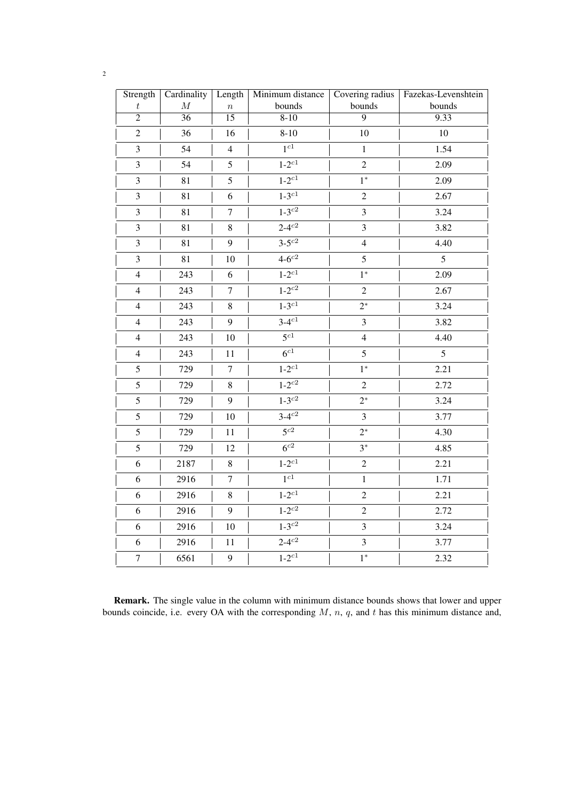| Strength         | Cardinality     | Length           | Minimum distance        | Covering radius | Fazekas-Levenshtein |
|------------------|-----------------|------------------|-------------------------|-----------------|---------------------|
| $\boldsymbol{t}$ | $\cal M$        | $\overline{n}$   | bounds                  | bounds          | bounds              |
| $\overline{2}$   | $\overline{36}$ | $\overline{15}$  | $8-10$                  | $\overline{9}$  | 9.33                |
| $\overline{c}$   | 36              | 16               | $8 - 10$                | 10              | $10\,$              |
| 3                | 54              | $\overline{4}$   | 1 <sup>c1</sup>         | $\mathbf{1}$    | 1.54                |
| 3                | 54              | 5                | $1 - 2^{c1}$            | $\overline{2}$  | 2.09                |
| 3                | 81              | 5                | $1 - 2^{c1}$            | $1^*$           | 2.09                |
| 3                | 81              | 6                | $1 - 3^{c1}$            | $\overline{c}$  | 2.67                |
| 3                | 81              | $\boldsymbol{7}$ | $1 - 3^{c2}$            | $\mathfrak{Z}$  | 3.24                |
| 3                | 81              | 8                | $2 - 4^{c2}$            | 3               | 3.82                |
| $\mathfrak{Z}$   | 81              | 9                | $3 - 5^{c2}$            | $\overline{4}$  | 4.40                |
| 3                | 81              | 10               | $4 - 6^{c2}$            | 5               | 5                   |
| $\overline{4}$   | 243             | 6                | $1 - 2^{c1}$            | $1^*$           | 2.09                |
| $\overline{4}$   | 243             | $\overline{7}$   | $1 - 2^{c2}$            | $\overline{2}$  | 2.67                |
| $\overline{4}$   | 243             | $8\,$            | $1 - 3^{c1}$            | $2^*$           | 3.24                |
| $\overline{4}$   | 243             | 9                | $3 - 4^{c1}$            | 3               | 3.82                |
| $\overline{4}$   | 243             | 10               | $\overline{5^{c1}}$     | $\overline{4}$  | 4.40                |
| $\overline{4}$   | 243             | 11               | $6^{c1}$                | $\sqrt{5}$      | 5                   |
| 5                | 729             | $\boldsymbol{7}$ | $1 - 2^{c1}$            | $1^*$           | 2.21                |
| 5                | 729             | 8                | $1 - 2^{c2}$            | $\sqrt{2}$      | 2.72                |
| 5                | 729             | 9                | $1 - 3^{c2}$            | $2^*$           | 3.24                |
| 5                | 729             | 10               | $3 - 4^{c2}$            | $\mathfrak{Z}$  | 3.77                |
| 5                | 729             | 11               | $5^{c2}$                | $2^*$           | 4.30                |
| 5                | 729             | 12               | $\overline{6^{c2}}$     | $3^*$           | 4.85                |
| 6                | 2187            | 8                | $\overline{1 - 2^{c1}}$ | $\sqrt{2}$      | 2.21                |
| 6                | 2916            | $\boldsymbol{7}$ | $\overline{1^{c1}}$     | $\,1$           | 1.71                |
| 6                | 2916            | $\,8\,$          | $1 - 2^{c1}$            | $\sqrt{2}$      | 2.21                |
| 6                | 2916            | 9                | $1 - 2^{c2}$            | $\sqrt{2}$      | 2.72                |
| 6                | 2916            | 10               | $1 - 3^{c2}$            | $\mathfrak{Z}$  | 3.24                |
| 6                | 2916            | 11               | $2 - 4^{c2}$            | 3               | 3.77                |
| $\boldsymbol{7}$ | 6561            | 9                | $1 - 2^{c1}$            | $1*$            | 2.32                |

Remark. The single value in the column with minimum distance bounds shows that lower and upper bounds coincide, i.e. every OA with the corresponding  $M$ ,  $n$ ,  $q$ , and  $t$  has this minimum distance and,